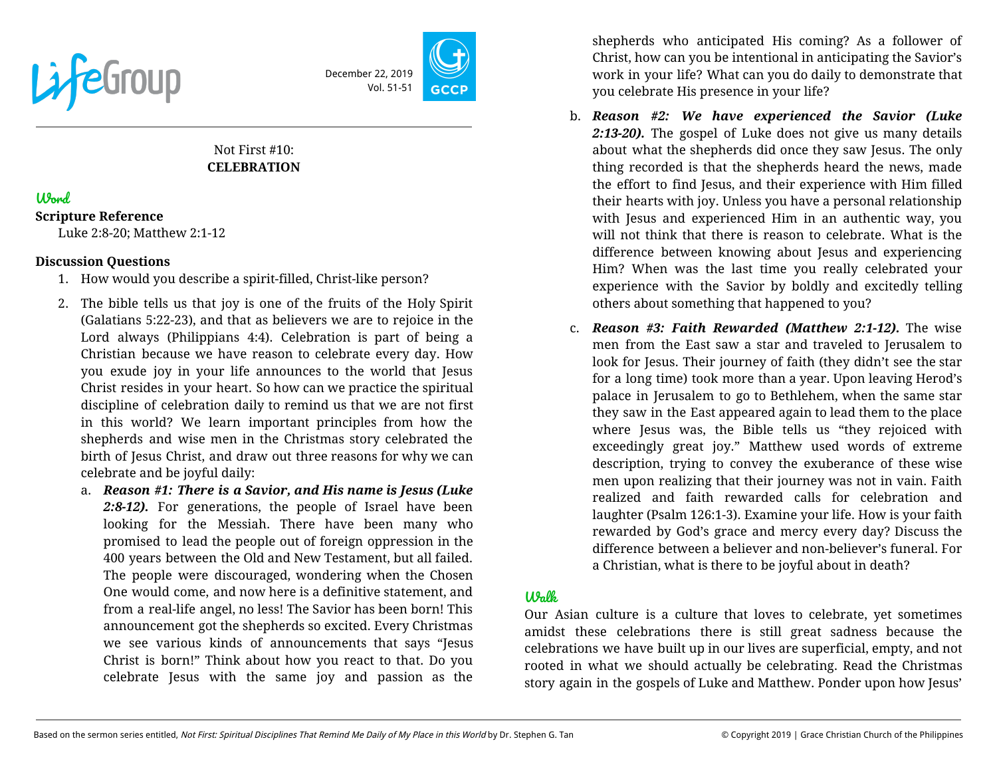

December 22, 2019 Vol. 51-51

# Not First #10: **CELEBRATION**

# Word

#### **Scripture Reference**

Luke 2:8-20; Matthew 2:1-12

### **Discussion Questions**

- 1. How would you describe a spirit-filled, Christ-like person?
- 2. The bible tells us that joy is one of the fruits of the Holy Spirit (Galatians 5:22-23), and that as believers we are to rejoice in the Lord always (Philippians 4:4). Celebration is part of being a Christian because we have reason to celebrate every day. How you exude joy in your life announces to the world that Jesus Christ resides in your heart. So how can we practice the spiritual discipline of celebration daily to remind us that we are not first in this world? We learn important principles from how the shepherds and wise men in the Christmas story celebrated the birth of Jesus Christ, and draw out three reasons for why we can celebrate and be joyful daily:
	- a. *Reason #1: There is a Savior, and His name is Jesus (Luke 2:8-12).* For generations, the people of Israel have been looking for the Messiah. There have been many who promised to lead the people out of foreign oppression in the 400 years between the Old and New Testament, but all failed. The people were discouraged, wondering when the Chosen One would come, and now here is a definitive statement, and from a real-life angel, no less! The Savior has been born! This announcement got the shepherds so excited. Every Christmas we see various kinds of announcements that says "Jesus Christ is born!" Think about how you react to that. Do you celebrate Jesus with the same joy and passion as the

shepherds who anticipated His coming? As a follower of Christ, how can you be intentional in anticipating the Savior's work in your life? What can you do daily to demonstrate that you celebrate His presence in your life?

- b. *Reason #2: We have experienced the Savior (Luke 2:13-20).* The gospel of Luke does not give us many details about what the shepherds did once they saw Jesus. The only thing recorded is that the shepherds heard the news, made the effort to find Jesus, and their experience with Him filled their hearts with joy. Unless you have a personal relationship with Jesus and experienced Him in an authentic way, you will not think that there is reason to celebrate. What is the difference between knowing about Jesus and experiencing Him? When was the last time you really celebrated your experience with the Savior by boldly and excitedly telling others about something that happened to you?
- c. *Reason #3: Faith Rewarded (Matthew 2:1-12).* The wise men from the East saw a star and traveled to Jerusalem to look for Jesus. Their journey of faith (they didn't see the star for a long time) took more than a year. Upon leaving Herod's palace in Jerusalem to go to Bethlehem, when the same star they saw in the East appeared again to lead them to the place where Jesus was, the Bible tells us "they rejoiced with exceedingly great joy." Matthew used words of extreme description, trying to convey the exuberance of these wise men upon realizing that their journey was not in vain. Faith realized and faith rewarded calls for celebration and laughter (Psalm 126:1-3). Examine your life. How is your faith rewarded by God's grace and mercy every day? Discuss the difference between a believer and non-believer's funeral. For a Christian, what is there to be joyful about in death?

## Walk

Our Asian culture is a culture that loves to celebrate, yet sometimes amidst these celebrations there is still great sadness because the celebrations we have built up in our lives are superficial, empty, and not rooted in what we should actually be celebrating. Read the Christmas story again in the gospels of Luke and Matthew. Ponder upon how Jesus'